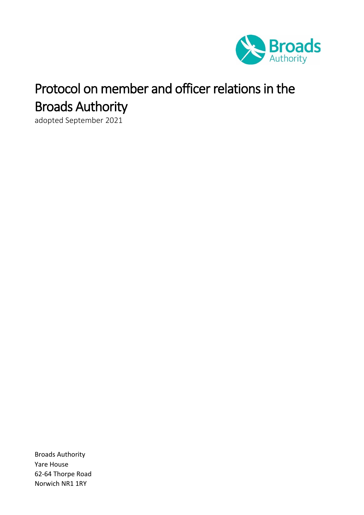

# Protocol on member and officer relations in the Broads Authority

adopted September 2021

Broads Authority Yare House 62-64 Thorpe Road Norwich NR1 1RY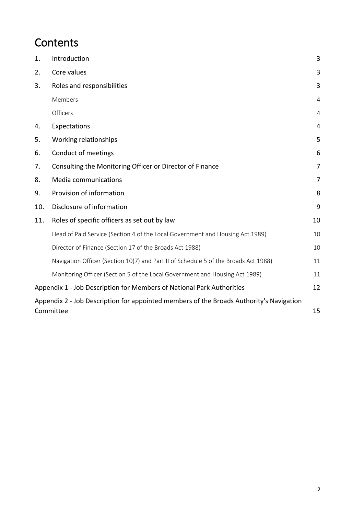# **Contents**

| 1.                                                                                      | Introduction                                                                        | 3              |
|-----------------------------------------------------------------------------------------|-------------------------------------------------------------------------------------|----------------|
| 2.                                                                                      | Core values                                                                         | 3              |
| 3.                                                                                      | Roles and responsibilities                                                          | 3              |
|                                                                                         | Members                                                                             | 4              |
|                                                                                         | Officers                                                                            | 4              |
| 4.                                                                                      | Expectations                                                                        | 4              |
| 5.                                                                                      | Working relationships                                                               | 5              |
| 6.                                                                                      | Conduct of meetings                                                                 | 6              |
| 7.                                                                                      | Consulting the Monitoring Officer or Director of Finance                            | $\overline{7}$ |
| 8.                                                                                      | Media communications                                                                | $\overline{7}$ |
| 9.                                                                                      | Provision of information                                                            | 8              |
| 10.                                                                                     | Disclosure of information                                                           | 9              |
| 11.                                                                                     | Roles of specific officers as set out by law                                        | 10             |
|                                                                                         | Head of Paid Service (Section 4 of the Local Government and Housing Act 1989)       | 10             |
|                                                                                         | Director of Finance (Section 17 of the Broads Act 1988)                             | 10             |
|                                                                                         | Navigation Officer (Section 10(7) and Part II of Schedule 5 of the Broads Act 1988) | 11             |
|                                                                                         | Monitoring Officer (Section 5 of the Local Government and Housing Act 1989)         | 11             |
| Appendix 1 - Job Description for Members of National Park Authorities                   |                                                                                     | 12             |
| Appendix 2 - Job Description for appointed members of the Broads Authority's Navigation |                                                                                     |                |
| 15<br>Committee                                                                         |                                                                                     |                |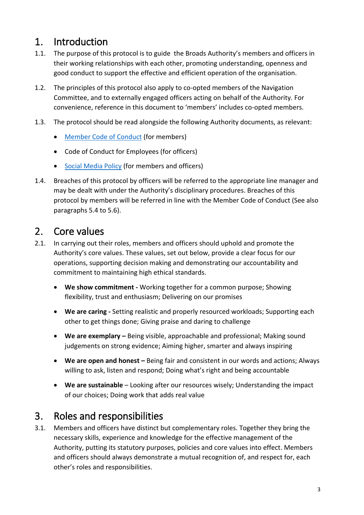# <span id="page-2-0"></span>1. Introduction

- 1.1. The purpose of this protocol is to guide the Broads Authority's members and officers in their working relationships with each other, promoting understanding, openness and good conduct to support the effective and efficient operation of the organisation.
- 1.2. The principles of this protocol also apply to co-opted members of the Navigation Committee, and to externally engaged officers acting on behalf of the Authority. For convenience, reference in this document to 'members' includes co-opted members.
- 1.3. The protocol should be read alongside the following Authority documents, as relevant:
	- [Member Code of Conduct](https://www.broads-authority.gov.uk/__data/assets/pdf_file/0024/186126/Member-Code-of-Conduct.pdf) (for members)
	- Code of Conduct for Employees (for officers)
	- [Social Media Policy](https://www.broads-authority.gov.uk/__data/assets/pdf_file/0025/241729/Policy-on-using-social-media-January-2021.pdf) (for members and officers)
- 1.4. Breaches of this protocol by officers will be referred to the appropriate line manager and may be dealt with under the Authority's disciplinary procedures. Breaches of this protocol by members will be referred in line with the Member Code of Conduct (See also paragraphs 5.4 to 5.6).

### <span id="page-2-1"></span>2. Core values

- 2.1. In carrying out their roles, members and officers should uphold and promote the Authority's core values. These values, set out below, provide a clear focus for our operations, supporting decision making and demonstrating our accountability and commitment to maintaining high ethical standards.
	- **We show commitment -** Working together for a common purpose; Showing flexibility, trust and enthusiasm; Delivering on our promises
	- **We are caring -** Setting realistic and properly resourced workloads; Supporting each other to get things done; Giving praise and daring to challenge
	- **We are exemplary –** Being visible, approachable and professional; Making sound judgements on strong evidence; Aiming higher, smarter and always inspiring
	- We are open and honest Being fair and consistent in our words and actions; Always willing to ask, listen and respond; Doing what's right and being accountable
	- **We are sustainable** Looking after our resources wisely; Understanding the impact of our choices; Doing work that adds real value

# <span id="page-2-2"></span>3. Roles and responsibilities

3.1. Members and officers have distinct but complementary roles. Together they bring the necessary skills, experience and knowledge for the effective management of the Authority, putting its statutory purposes, policies and core values into effect. Members and officers should always demonstrate a mutual recognition of, and respect for, each other's roles and responsibilities.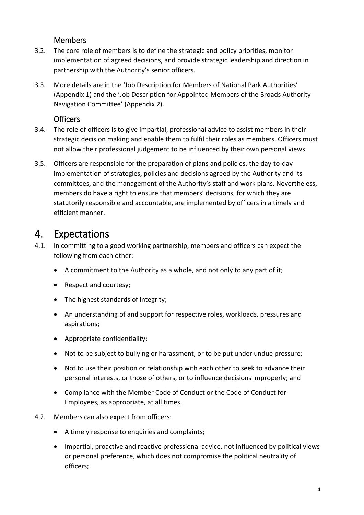#### **Members**

- <span id="page-3-0"></span>3.2. The core role of members is to define the strategic and policy priorities, monitor implementation of agreed decisions, and provide strategic leadership and direction in partnership with the Authority's senior officers.
- 3.3. More details are in the 'Job Description for Members of National Park Authorities' (Appendix 1) and the 'Job Description for Appointed Members of the Broads Authority Navigation Committee' (Appendix 2).

#### **Officers**

- <span id="page-3-1"></span>3.4. The role of officers is to give impartial, professional advice to assist members in their strategic decision making and enable them to fulfil their roles as members. Officers must not allow their professional judgement to be influenced by their own personal views.
- 3.5. Officers are responsible for the preparation of plans and policies, the day-to-day implementation of strategies, policies and decisions agreed by the Authority and its committees, and the management of the Authority's staff and work plans. Nevertheless, members do have a right to ensure that members' decisions, for which they are statutorily responsible and accountable, are implemented by officers in a timely and efficient manner.

### <span id="page-3-2"></span>4. Expectations

- 4.1. In committing to a good working partnership, members and officers can expect the following from each other:
	- A commitment to the Authority as a whole, and not only to any part of it;
	- Respect and courtesy;
	- The highest standards of integrity;
	- An understanding of and support for respective roles, workloads, pressures and aspirations;
	- Appropriate confidentiality;
	- Not to be subject to bullying or harassment, or to be put under undue pressure;
	- Not to use their position or relationship with each other to seek to advance their personal interests, or those of others, or to influence decisions improperly; and
	- Compliance with the Member Code of Conduct or the Code of Conduct for Employees, as appropriate, at all times.
- 4.2. Members can also expect from officers:
	- A timely response to enquiries and complaints;
	- Impartial, proactive and reactive professional advice, not influenced by political views or personal preference, which does not compromise the political neutrality of officers;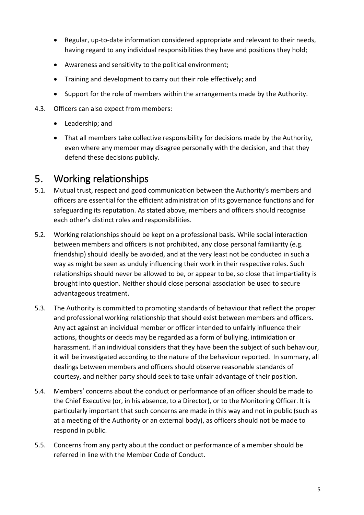- Regular, up-to-date information considered appropriate and relevant to their needs, having regard to any individual responsibilities they have and positions they hold;
- Awareness and sensitivity to the political environment;
- Training and development to carry out their role effectively; and
- Support for the role of members within the arrangements made by the Authority.
- 4.3. Officers can also expect from members:
	- Leadership; and
	- That all members take collective responsibility for decisions made by the Authority, even where any member may disagree personally with the decision, and that they defend these decisions publicly.

# <span id="page-4-0"></span>5. Working relationships

- 5.1. Mutual trust, respect and good communication between the Authority's members and officers are essential for the efficient administration of its governance functions and for safeguarding its reputation. As stated above, members and officers should recognise each other's distinct roles and responsibilities.
- 5.2. Working relationships should be kept on a professional basis. While social interaction between members and officers is not prohibited, any close personal familiarity (e.g. friendship) should ideally be avoided, and at the very least not be conducted in such a way as might be seen as unduly influencing their work in their respective roles. Such relationships should never be allowed to be, or appear to be, so close that impartiality is brought into question. Neither should close personal association be used to secure advantageous treatment.
- 5.3. The Authority is committed to promoting standards of behaviour that reflect the proper and professional working relationship that should exist between members and officers. Any act against an individual member or officer intended to unfairly influence their actions, thoughts or deeds may be regarded as a form of bullying, intimidation or harassment. If an individual considers that they have been the subject of such behaviour, it will be investigated according to the nature of the behaviour reported. In summary, all dealings between members and officers should observe reasonable standards of courtesy, and neither party should seek to take unfair advantage of their position.
- 5.4. Members' concerns about the conduct or performance of an officer should be made to the Chief Executive (or, in his absence, to a Director), or to the Monitoring Officer. It is particularly important that such concerns are made in this way and not in public (such as at a meeting of the Authority or an external body), as officers should not be made to respond in public.
- 5.5. Concerns from any party about the conduct or performance of a member should be referred in line with the Member Code of Conduct.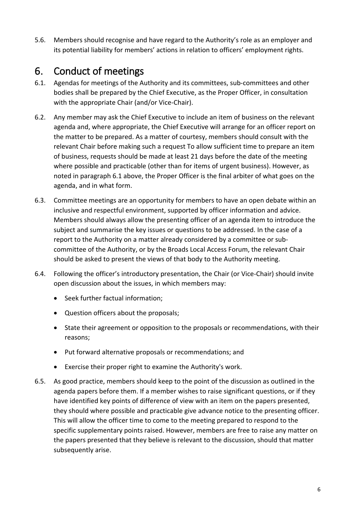5.6. Members should recognise and have regard to the Authority's role as an employer and its potential liability for members' actions in relation to officers' employment rights.

# <span id="page-5-0"></span>6. Conduct of meetings

- 6.1. Agendas for meetings of the Authority and its committees, sub-committees and other bodies shall be prepared by the Chief Executive, as the Proper Officer, in consultation with the appropriate Chair (and/or Vice-Chair).
- 6.2. Any member may ask the Chief Executive to include an item of business on the relevant agenda and, where appropriate, the Chief Executive will arrange for an officer report on the matter to be prepared. As a matter of courtesy, members should consult with the relevant Chair before making such a request To allow sufficient time to prepare an item of business, requests should be made at least 21 days before the date of the meeting where possible and practicable (other than for items of urgent business). However, as noted in paragraph 6.1 above, the Proper Officer is the final arbiter of what goes on the agenda, and in what form.
- 6.3. Committee meetings are an opportunity for members to have an open debate within an inclusive and respectful environment, supported by officer information and advice. Members should always allow the presenting officer of an agenda item to introduce the subject and summarise the key issues or questions to be addressed. In the case of a report to the Authority on a matter already considered by a committee or subcommittee of the Authority, or by the Broads Local Access Forum, the relevant Chair should be asked to present the views of that body to the Authority meeting.
- 6.4. Following the officer's introductory presentation, the Chair (or Vice-Chair) should invite open discussion about the issues, in which members may:
	- Seek further factual information;
	- Question officers about the proposals;
	- State their agreement or opposition to the proposals or recommendations, with their reasons;
	- Put forward alternative proposals or recommendations; and
	- Exercise their proper right to examine the Authority's work.
- 6.5. As good practice, members should keep to the point of the discussion as outlined in the agenda papers before them. If a member wishes to raise significant questions, or if they have identified key points of difference of view with an item on the papers presented, they should where possible and practicable give advance notice to the presenting officer. This will allow the officer time to come to the meeting prepared to respond to the specific supplementary points raised. However, members are free to raise any matter on the papers presented that they believe is relevant to the discussion, should that matter subsequently arise.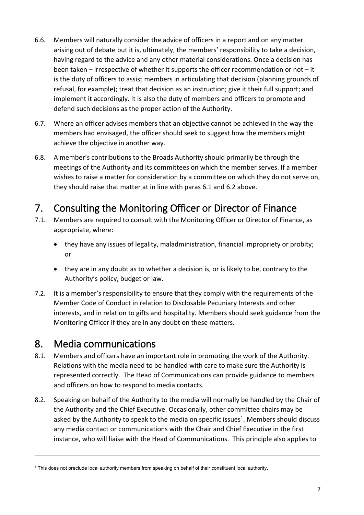- 6.6. Members will naturally consider the advice of officers in a report and on any matter arising out of debate but it is, ultimately, the members' responsibility to take a decision, having regard to the advice and any other material considerations. Once a decision has been taken – irrespective of whether it supports the officer recommendation or not – it is the duty of officers to assist members in articulating that decision (planning grounds of refusal, for example); treat that decision as an instruction; give it their full support; and implement it accordingly. It is also the duty of members and officers to promote and defend such decisions as the proper action of the Authority.
- 6.7. Where an officer advises members that an objective cannot be achieved in the way the members had envisaged, the officer should seek to suggest how the members might achieve the objective in another way.
- 6.8. A member's contributions to the Broads Authority should primarily be through the meetings of the Authority and its committees on which the member serves. If a member wishes to raise a matter for consideration by a committee on which they do not serve on, they should raise that matter at in line with paras 6.1 and 6.2 above.

# <span id="page-6-0"></span>7. Consulting the Monitoring Officer or Director of Finance

- 7.1. Members are required to consult with the Monitoring Officer or Director of Finance, as appropriate, where:
	- they have any issues of legality, maladministration, financial impropriety or probity; or
	- they are in any doubt as to whether a decision is, or is likely to be, contrary to the Authority's policy, budget or law.
- 7.2. It is a member's responsibility to ensure that they comply with the requirements of the Member Code of Conduct in relation to Disclosable Pecuniary Interests and other interests, and in relation to gifts and hospitality. Members should seek guidance from the Monitoring Officer if they are in any doubt on these matters.

### <span id="page-6-1"></span>8. Media communications

 $\overline{a}$ 

- 8.1. Members and officers have an important role in promoting the work of the Authority. Relations with the media need to be handled with care to make sure the Authority is represented correctly. The Head of Communications can provide guidance to members and officers on how to respond to media contacts.
- 8.2. Speaking on behalf of the Authority to the media will normally be handled by the Chair of the Authority and the Chief Executive. Occasionally, other committee chairs may be asked by the Authority to speak to the media on specific issues<sup>1</sup>. Members should discuss any media contact or communications with the Chair and Chief Executive in the first instance, who will liaise with the Head of Communications. This principle also applies to

<sup>1</sup> This does not preclude local authority members from speaking on behalf of their constituent local authority.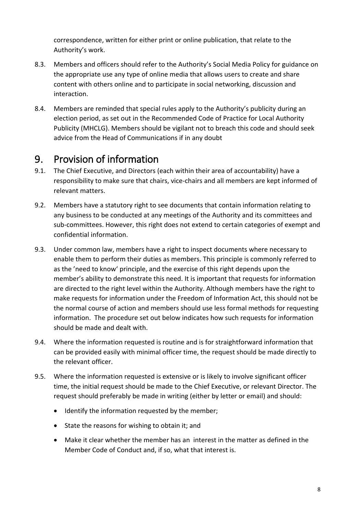correspondence, written for either print or online publication, that relate to the Authority's work.

- 8.3. Members and officers should refer to the Authority's Social Media Policy for guidance on the appropriate use any type of online media that allows users to create and share content with others online and to participate in social networking, discussion and interaction.
- 8.4. Members are reminded that special rules apply to the Authority's publicity during an election period, as set out in the Recommended Code of Practice for Local Authority Publicity (MHCLG). Members should be vigilant not to breach this code and should seek advice from the Head of Communications if in any doubt

### <span id="page-7-0"></span>9. Provision of information

- 9.1. The Chief Executive, and Directors (each within their area of accountability) have a responsibility to make sure that chairs, vice-chairs and all members are kept informed of relevant matters.
- 9.2. Members have a statutory right to see documents that contain information relating to any business to be conducted at any meetings of the Authority and its committees and sub-committees. However, this right does not extend to certain categories of exempt and confidential information.
- 9.3. Under common law, members have a right to inspect documents where necessary to enable them to perform their duties as members. This principle is commonly referred to as the 'need to know' principle, and the exercise of this right depends upon the member's ability to demonstrate this need. It is important that requests for information are directed to the right level within the Authority. Although members have the right to make requests for information under the Freedom of Information Act, this should not be the normal course of action and members should use less formal methods for requesting information. The procedure set out below indicates how such requests for information should be made and dealt with.
- 9.4. Where the information requested is routine and is for straightforward information that can be provided easily with minimal officer time, the request should be made directly to the relevant officer.
- 9.5. Where the information requested is extensive or is likely to involve significant officer time, the initial request should be made to the Chief Executive, or relevant Director. The request should preferably be made in writing (either by letter or email) and should:
	- Identify the information requested by the member;
	- State the reasons for wishing to obtain it; and
	- Make it clear whether the member has an interest in the matter as defined in the Member Code of Conduct and, if so, what that interest is.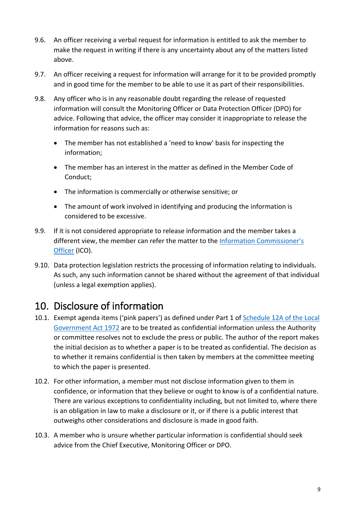- 9.6. An officer receiving a verbal request for information is entitled to ask the member to make the request in writing if there is any uncertainty about any of the matters listed above.
- 9.7. An officer receiving a request for information will arrange for it to be provided promptly and in good time for the member to be able to use it as part of their responsibilities.
- 9.8. Any officer who is in any reasonable doubt regarding the release of requested information will consult the Monitoring Officer or Data Protection Officer (DPO) for advice. Following that advice, the officer may consider it inappropriate to release the information for reasons such as:
	- The member has not established a 'need to know' basis for inspecting the information;
	- The member has an interest in the matter as defined in the Member Code of Conduct;
	- The information is commercially or otherwise sensitive; or
	- The amount of work involved in identifying and producing the information is considered to be excessive.
- 9.9. If it is not considered appropriate to release information and the member takes a different view, the member can refer the matter to the I[nformation Commissioner's](https://ico.org.uk/)  [Officer](https://ico.org.uk/) (ICO).
- 9.10. Data protection legislation restricts the processing of information relating to individuals. As such, any such information cannot be shared without the agreement of that individual (unless a legal exemption applies).

# <span id="page-8-0"></span>10. Disclosure of information

- 10.1. Exempt agenda items ('pink papers') as defined under Part 1 of [Schedule 12A of the Local](https://www.legislation.gov.uk/ukpga/1972/70/schedule/12A/2012-07-01?timeline=true)  [Government Act 1972](https://www.legislation.gov.uk/ukpga/1972/70/schedule/12A/2012-07-01?timeline=true) are to be treated as confidential information unless the Authority or committee resolves not to exclude the press or public. The author of the report makes the initial decision as to whether a paper is to be treated as confidential. The decision as to whether it remains confidential is then taken by members at the committee meeting to which the paper is presented.
- 10.2. For other information, a member must not disclose information given to them in confidence, or information that they believe or ought to know is of a confidential nature. There are various exceptions to confidentiality including, but not limited to, where there is an obligation in law to make a disclosure or it, or if there is a public interest that outweighs other considerations and disclosure is made in good faith.
- 10.3. A member who is unsure whether particular information is confidential should seek advice from the Chief Executive, Monitoring Officer or DPO.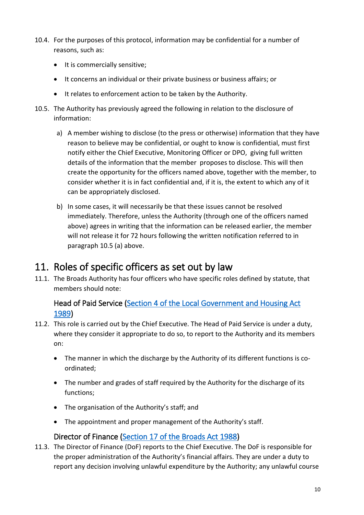- 10.4. For the purposes of this protocol, information may be confidential for a number of reasons, such as:
	- It is commercially sensitive;
	- It concerns an individual or their private business or business affairs; or
	- It relates to enforcement action to be taken by the Authority.
- 10.5. The Authority has previously agreed the following in relation to the disclosure of information:
	- a) A member wishing to disclose (to the press or otherwise) information that they have reason to believe may be confidential, or ought to know is confidential, must first notify either the Chief Executive, Monitoring Officer or DPO, giving full written details of the information that the member proposes to disclose. This will then create the opportunity for the officers named above, together with the member, to consider whether it is in fact confidential and, if it is, the extent to which any of it can be appropriately disclosed.
	- b) In some cases, it will necessarily be that these issues cannot be resolved immediately. Therefore, unless the Authority (through one of the officers named above) agrees in writing that the information can be released earlier, the member will not release it for 72 hours following the written notification referred to in paragraph 10.5 (a) above.

# <span id="page-9-0"></span>11. Roles of specific officers as set out by law

11.1. The Broads Authority has four officers who have specific roles defined by statute, that members should note:

#### <span id="page-9-1"></span>Head of Paid Service [\(Section 4 of the Local Government and Housing Act](https://www.legislation.gov.uk/ukpga/1989/42/part/I/crossheading/duties-of-particular-officers)  [1989\)](https://www.legislation.gov.uk/ukpga/1989/42/part/I/crossheading/duties-of-particular-officers)

- 11.2. This role is carried out by the Chief Executive. The Head of Paid Service is under a duty, where they consider it appropriate to do so, to report to the Authority and its members on:
	- The manner in which the discharge by the Authority of its different functions is coordinated;
	- The number and grades of staff required by the Authority for the discharge of its functions;
	- The organisation of the Authority's staff; and
	- The appointment and proper management of the Authority's staff.

#### Director of Finance [\(Section 17 of the Broads Act 1988\)](https://www.legislation.gov.uk/ukpga/1988/4/section/17)

<span id="page-9-2"></span>11.3. The Director of Finance (DoF) reports to the Chief Executive. The DoF is responsible for the proper administration of the Authority's financial affairs. They are under a duty to report any decision involving unlawful expenditure by the Authority; any unlawful course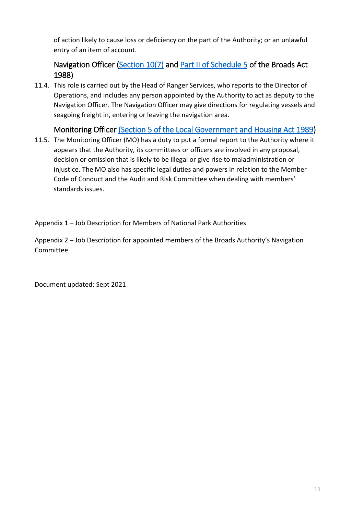of action likely to cause loss or deficiency on the part of the Authority; or an unlawful entry of an item of account.

#### <span id="page-10-0"></span>Navigation Officer [\(Section 10\(7\)](https://www.legislation.gov.uk/ukpga/1988/4/section/10) and [Part II of Schedule 5](https://www.legislation.gov.uk/ukpga/1988/4/schedule/5) of the Broads Act 1988)

11.4. This role is carried out by the Head of Ranger Services, who reports to the Director of Operations, and includes any person appointed by the Authority to act as deputy to the Navigation Officer. The Navigation Officer may give directions for regulating vessels and seagoing freight in, entering or leaving the navigation area.

#### Monitoring Officer [\(Section 5 of the Local Government and Housing Act 1989\)](https://www.legislation.gov.uk/ukpga/1989/42/part/I/crossheading/duties-of-particular-officers)

<span id="page-10-1"></span>11.5. The Monitoring Officer (MO) has a duty to put a formal report to the Authority where it appears that the Authority, its committees or officers are involved in any proposal, decision or omission that is likely to be illegal or give rise to maladministration or injustice. The MO also has specific legal duties and powers in relation to the Member Code of Conduct and the Audit and Risk Committee when dealing with members' standards issues.

Appendix 1 – Job Description for Members of National Park Authorities

Appendix 2 – Job Description for appointed members of the Broads Authority's Navigation Committee

Document updated: Sept 2021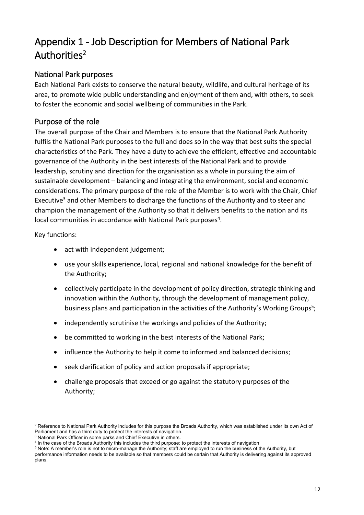# <span id="page-11-0"></span>Appendix 1 - Job Description for Members of National Park Authorities<sup>2</sup>

#### National Park purposes

Each National Park exists to conserve the natural beauty, wildlife, and cultural heritage of its area, to promote wide public understanding and enjoyment of them and, with others, to seek to foster the economic and social wellbeing of communities in the Park.

#### Purpose of the role

The overall purpose of the Chair and Members is to ensure that the National Park Authority fulfils the National Park purposes to the full and does so in the way that best suits the special characteristics of the Park. They have a duty to achieve the efficient, effective and accountable governance of the Authority in the best interests of the National Park and to provide leadership, scrutiny and direction for the organisation as a whole in pursuing the aim of sustainable development – balancing and integrating the environment, social and economic considerations. The primary purpose of the role of the Member is to work with the Chair, Chief Executive<sup>3</sup> and other Members to discharge the functions of the Authority and to steer and champion the management of the Authority so that it delivers benefits to the nation and its local communities in accordance with National Park purposes<sup>4</sup>.

Key functions:

 $\overline{a}$ 

- act with independent judgement;
- use your skills experience, local, regional and national knowledge for the benefit of the Authority;
- collectively participate in the development of policy direction, strategic thinking and innovation within the Authority, through the development of management policy, business plans and participation in the activities of the Authority's Working Groups<sup>5</sup>;
- independently scrutinise the workings and policies of the Authority;
- be committed to working in the best interests of the National Park;
- influence the Authority to help it come to informed and balanced decisions;
- seek clarification of policy and action proposals if appropriate;
- challenge proposals that exceed or go against the statutory purposes of the Authority;

<sup>&</sup>lt;sup>2</sup> Reference to National Park Authority includes for this purpose the Broads Authority, which was established under its own Act of Parliament and has a third duty to protect the interests of navigation.

<sup>&</sup>lt;sup>3</sup> National Park Officer in some parks and Chief Executive in others.

<sup>4</sup> In the case of the Broads Authority this includes the third purpose: to protect the interests of navigation

<sup>5</sup> Note: A member's role is not to micro-manage the Authority; staff are employed to run the business of the Authority, but performance information needs to be available so that members could be certain that Authority is delivering against its approved plans.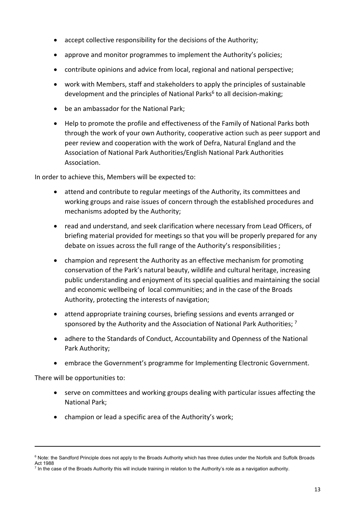- accept collective responsibility for the decisions of the Authority;
- approve and monitor programmes to implement the Authority's policies;
- contribute opinions and advice from local, regional and national perspective;
- work with Members, staff and stakeholders to apply the principles of sustainable development and the principles of National Parks<sup>6</sup> to all decision-making;
- be an ambassador for the National Park;
- Help to promote the profile and effectiveness of the Family of National Parks both through the work of your own Authority, cooperative action such as peer support and peer review and cooperation with the work of Defra, Natural England and the Association of National Park Authorities/English National Park Authorities Association.

In order to achieve this, Members will be expected to:

- attend and contribute to regular meetings of the Authority, its committees and working groups and raise issues of concern through the established procedures and mechanisms adopted by the Authority;
- read and understand, and seek clarification where necessary from Lead Officers, of briefing material provided for meetings so that you will be properly prepared for any debate on issues across the full range of the Authority's responsibilities ;
- champion and represent the Authority as an effective mechanism for promoting conservation of the Park's natural beauty, wildlife and cultural heritage, increasing public understanding and enjoyment of its special qualities and maintaining the social and economic wellbeing of local communities; and in the case of the Broads Authority, protecting the interests of navigation;
- attend appropriate training courses, briefing sessions and events arranged or sponsored by the Authority and the Association of National Park Authorities; 7
- adhere to the Standards of Conduct, Accountability and Openness of the National Park Authority;
- embrace the Government's programme for Implementing Electronic Government.

There will be opportunities to:

 $\overline{a}$ 

- serve on committees and working groups dealing with particular issues affecting the National Park;
- champion or lead a specific area of the Authority's work;

<sup>&</sup>lt;sup>6</sup> Note: the Sandford Principle does not apply to the Broads Authority which has three duties under the Norfolk and Suffolk Broads Act 1988

 $^7$  In the case of the Broads Authority this will include training in relation to the Authority's role as a navigation authority.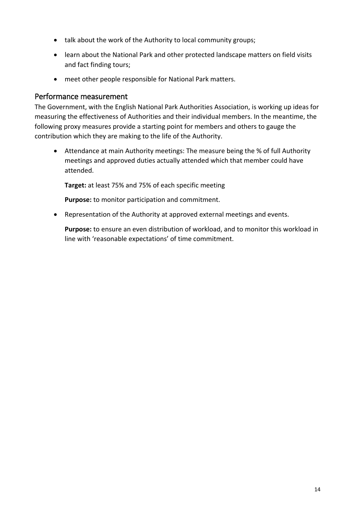- talk about the work of the Authority to local community groups;
- learn about the National Park and other protected landscape matters on field visits and fact finding tours;
- meet other people responsible for National Park matters.

#### Performance measurement

The Government, with the English National Park Authorities Association, is working up ideas for measuring the effectiveness of Authorities and their individual members. In the meantime, the following proxy measures provide a starting point for members and others to gauge the contribution which they are making to the life of the Authority.

• Attendance at main Authority meetings: The measure being the % of full Authority meetings and approved duties actually attended which that member could have attended.

**Target:** at least 75% and 75% of each specific meeting

**Purpose:** to monitor participation and commitment.

• Representation of the Authority at approved external meetings and events.

**Purpose:** to ensure an even distribution of workload, and to monitor this workload in line with 'reasonable expectations' of time commitment.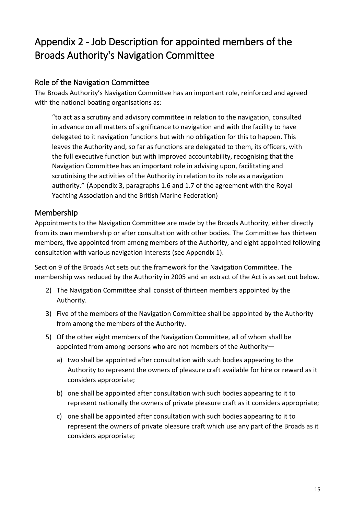# <span id="page-14-0"></span>Appendix 2 - Job Description for appointed members of the Broads Authority's Navigation Committee

#### Role of the Navigation Committee

The Broads Authority's Navigation Committee has an important role, reinforced and agreed with the national boating organisations as:

"to act as a scrutiny and advisory committee in relation to the navigation, consulted in advance on all matters of significance to navigation and with the facility to have delegated to it navigation functions but with no obligation for this to happen. This leaves the Authority and, so far as functions are delegated to them, its officers, with the full executive function but with improved accountability, recognising that the Navigation Committee has an important role in advising upon, facilitating and scrutinising the activities of the Authority in relation to its role as a navigation authority." (Appendix 3, paragraphs 1.6 and 1.7 of the agreement with the Royal Yachting Association and the British Marine Federation)

#### Membership

Appointments to the Navigation Committee are made by the Broads Authority, either directly from its own membership or after consultation with other bodies. The Committee has thirteen members, five appointed from among members of the Authority, and eight appointed following consultation with various navigation interests (see Appendix 1).

Section 9 of the Broads Act sets out the framework for the Navigation Committee. The membership was reduced by the Authority in 2005 and an extract of the Act is as set out below.

- 2) The Navigation Committee shall consist of thirteen members appointed by the Authority.
- 3) Five of the members of the Navigation Committee shall be appointed by the Authority from among the members of the Authority.
- 5) Of the other eight members of the Navigation Committee, all of whom shall be appointed from among persons who are not members of the Authority
	- a) two shall be appointed after consultation with such bodies appearing to the Authority to represent the owners of pleasure craft available for hire or reward as it considers appropriate;
	- b) one shall be appointed after consultation with such bodies appearing to it to represent nationally the owners of private pleasure craft as it considers appropriate;
	- c) one shall be appointed after consultation with such bodies appearing to it to represent the owners of private pleasure craft which use any part of the Broads as it considers appropriate;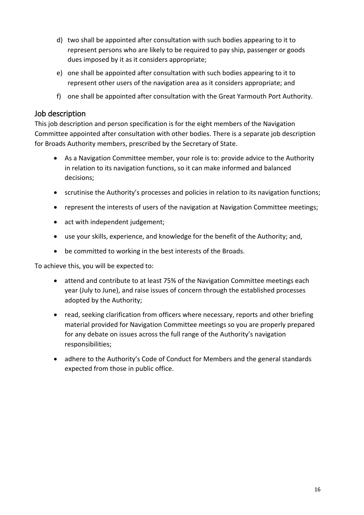- d) two shall be appointed after consultation with such bodies appearing to it to represent persons who are likely to be required to pay ship, passenger or goods dues imposed by it as it considers appropriate;
- e) one shall be appointed after consultation with such bodies appearing to it to represent other users of the navigation area as it considers appropriate; and
- f) one shall be appointed after consultation with the Great Yarmouth Port Authority.

#### Job description

This job description and person specification is for the eight members of the Navigation Committee appointed after consultation with other bodies. There is a separate job description for Broads Authority members, prescribed by the Secretary of State.

- As a Navigation Committee member, your role is to: provide advice to the Authority in relation to its navigation functions, so it can make informed and balanced decisions;
- scrutinise the Authority's processes and policies in relation to its navigation functions;
- represent the interests of users of the navigation at Navigation Committee meetings;
- act with independent judgement;
- use your skills, experience, and knowledge for the benefit of the Authority; and,
- be committed to working in the best interests of the Broads.

To achieve this, you will be expected to:

- attend and contribute to at least 75% of the Navigation Committee meetings each year (July to June), and raise issues of concern through the established processes adopted by the Authority;
- read, seeking clarification from officers where necessary, reports and other briefing material provided for Navigation Committee meetings so you are properly prepared for any debate on issues across the full range of the Authority's navigation responsibilities;
- adhere to the Authority's Code of Conduct for Members and the general standards expected from those in public office.